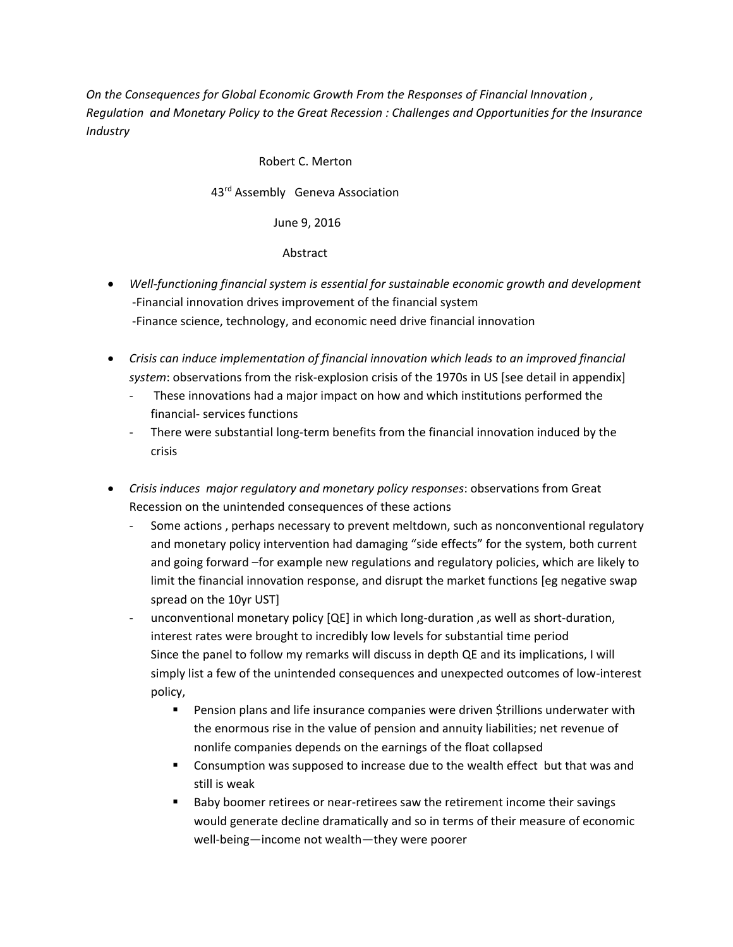*On the Consequences for Global Economic Growth From the Responses of Financial Innovation , Regulation and Monetary Policy to the Great Recession : Challenges and Opportunities for the Insurance Industry*

#### Robert C. Merton

43rd Assembly Geneva Association

June 9, 2016

Abstract

- *Well-functioning financial system is essential for sustainable economic growth and development*  -Financial innovation drives improvement of the financial system -Finance science, technology, and economic need drive financial innovation
- *Crisis can induce implementation of financial innovation which leads to an improved financial system*: observations from the risk-explosion crisis of the 1970s in US [see detail in appendix]
	- These innovations had a major impact on how and which institutions performed the financial- services functions
	- There were substantial long-term benefits from the financial innovation induced by the crisis
- *Crisis induces major regulatory and monetary policy responses*: observations from Great Recession on the unintended consequences of these actions
	- Some actions , perhaps necessary to prevent meltdown, such as nonconventional regulatory and monetary policy intervention had damaging "side effects" for the system, both current and going forward –for example new regulations and regulatory policies, which are likely to limit the financial innovation response, and disrupt the market functions [eg negative swap spread on the 10yr UST]
	- unconventional monetary policy [QE] in which long-duration, as well as short-duration, interest rates were brought to incredibly low levels for substantial time period Since the panel to follow my remarks will discuss in depth QE and its implications, I will simply list a few of the unintended consequences and unexpected outcomes of low-interest policy,
		- Pension plans and life insurance companies were driven \$trillions underwater with the enormous rise in the value of pension and annuity liabilities; net revenue of nonlife companies depends on the earnings of the float collapsed
		- Consumption was supposed to increase due to the wealth effect but that was and still is weak
		- Baby boomer retirees or near-retirees saw the retirement income their savings would generate decline dramatically and so in terms of their measure of economic well-being—income not wealth—they were poorer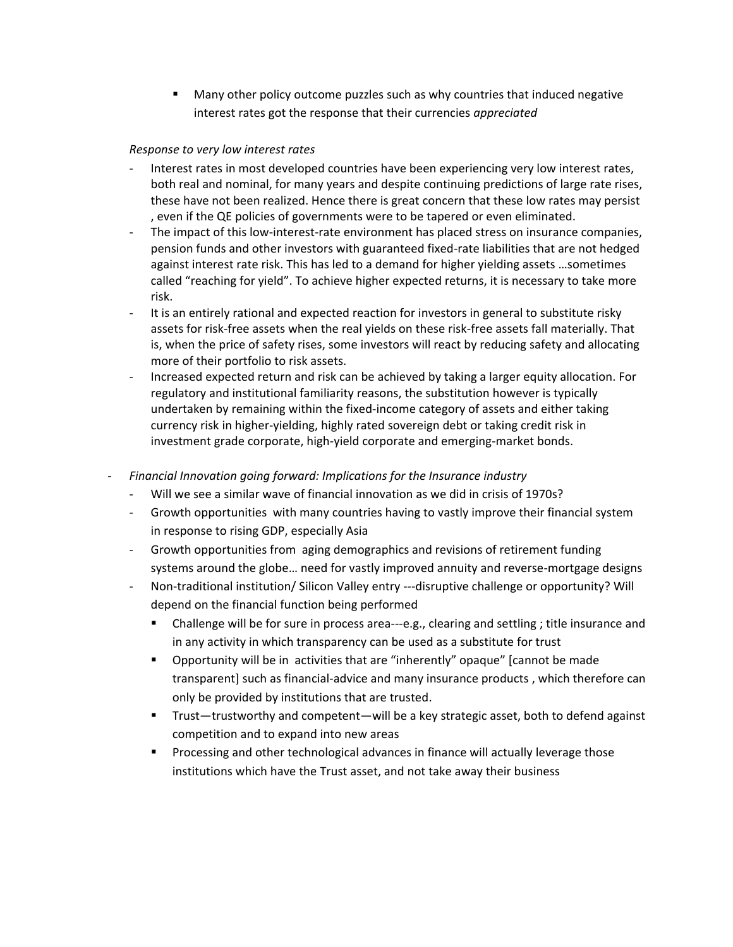Many other policy outcome puzzles such as why countries that induced negative interest rates got the response that their currencies *appreciated*

### *Response to very low interest rates*

- Interest rates in most developed countries have been experiencing very low interest rates, both real and nominal, for many years and despite continuing predictions of large rate rises, these have not been realized. Hence there is great concern that these low rates may persist , even if the QE policies of governments were to be tapered or even eliminated.
- The impact of this low-interest-rate environment has placed stress on insurance companies, pension funds and other investors with guaranteed fixed-rate liabilities that are not hedged against interest rate risk. This has led to a demand for higher yielding assets …sometimes called "reaching for yield". To achieve higher expected returns, it is necessary to take more risk.
- It is an entirely rational and expected reaction for investors in general to substitute risky assets for risk-free assets when the real yields on these risk-free assets fall materially. That is, when the price of safety rises, some investors will react by reducing safety and allocating more of their portfolio to risk assets.
- Increased expected return and risk can be achieved by taking a larger equity allocation. For regulatory and institutional familiarity reasons, the substitution however is typically undertaken by remaining within the fixed-income category of assets and either taking currency risk in higher-yielding, highly rated sovereign debt or taking credit risk in investment grade corporate, high-yield corporate and emerging-market bonds.
- *Financial Innovation going forward: Implications for the Insurance industry*
	- Will we see a similar wave of financial innovation as we did in crisis of 1970s?
	- Growth opportunities with many countries having to vastly improve their financial system in response to rising GDP, especially Asia
	- Growth opportunities from aging demographics and revisions of retirement funding systems around the globe… need for vastly improved annuity and reverse-mortgage designs
	- Non-traditional institution/ Silicon Valley entry ---disruptive challenge or opportunity? Will depend on the financial function being performed
		- Challenge will be for sure in process area---e.g., clearing and settling ; title insurance and in any activity in which transparency can be used as a substitute for trust
		- Opportunity will be in activities that are "inherently" opaque" [cannot be made transparent] such as financial-advice and many insurance products , which therefore can only be provided by institutions that are trusted.
		- Trust—trustworthy and competent—will be a key strategic asset, both to defend against competition and to expand into new areas
		- **Processing and other technological advances in finance will actually leverage those** institutions which have the Trust asset, and not take away their business